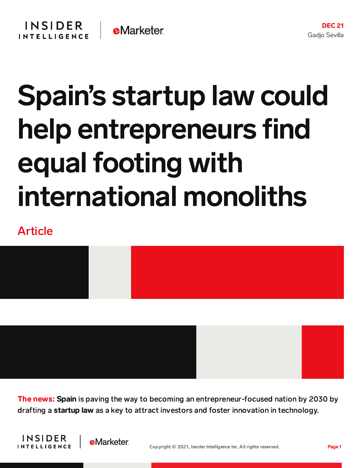## Spain's startup law could help entrepreneurs find equal footing with international monoliths

## Article



The news: Spain is paving the way to becoming an entrepreneur-focused nation by 2030 by drafting a startup law as a key to attract investors and foster innovation in technology.